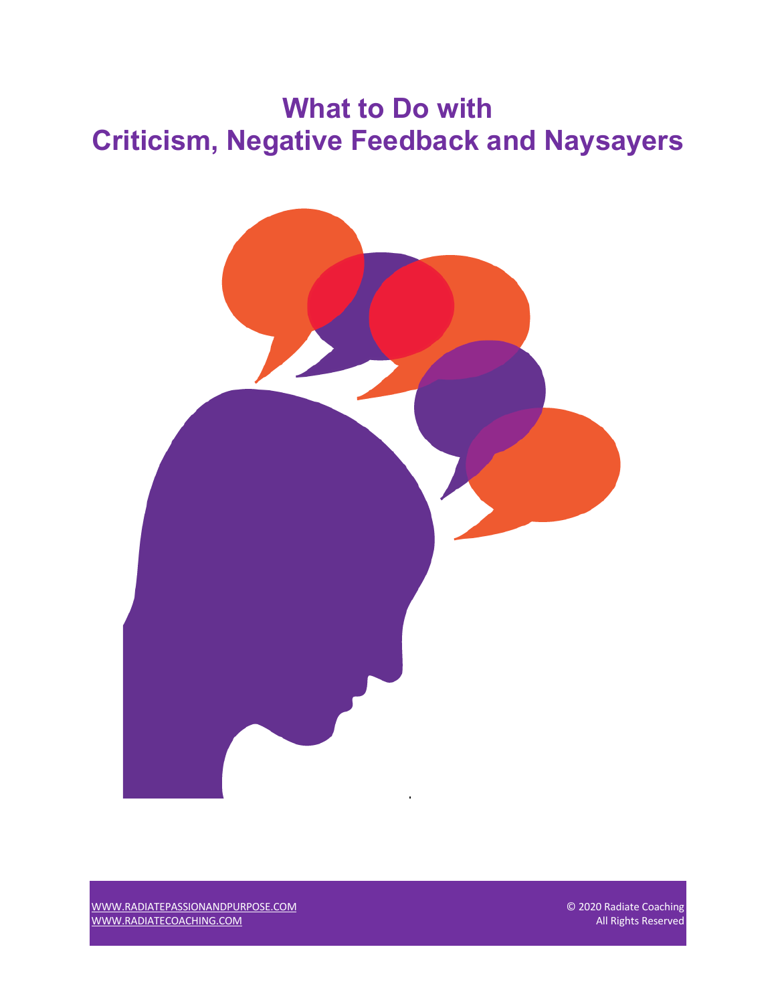# **What to Do with Criticism, Negative Feedback and Naysayers**



WWW.RADIATEPASSIONANDPURPOSE.COM © 2020 Radiate Coaching WWW.RADIATECOACHING.COM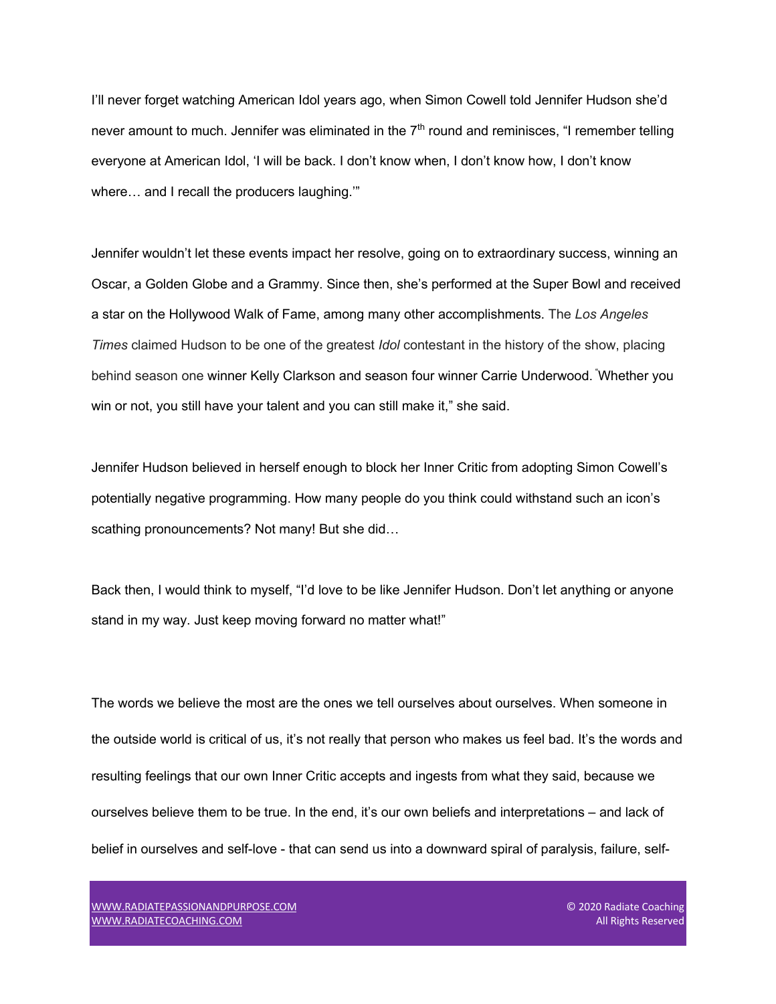I'll never forget watching American Idol years ago, when Simon Cowell told Jennifer Hudson she'd never amount to much. Jennifer was eliminated in the  $7<sup>th</sup>$  round and reminisces, "I remember telling everyone at American Idol, 'I will be back. I don't know when, I don't know how, I don't know where… and I recall the producers laughing.'"

Jennifer wouldn't let these events impact her resolve, going on to extraordinary success, winning an Oscar, a Golden Globe and a Grammy. Since then, she's performed at the Super Bowl and received a star on the Hollywood Walk of Fame, among many other accomplishments. The *Los Angeles Times* claimed Hudson to be one of the greatest *Idol* contestant in the history of the show, placing behind season one winner Kelly Clarkson and season four winner Carrie Underwood. " Whether you win or not, you still have your talent and you can still make it," she said.

Jennifer Hudson believed in herself enough to block her Inner Critic from adopting Simon Cowell's potentially negative programming. How many people do you think could withstand such an icon's scathing pronouncements? Not many! But she did…

Back then, I would think to myself, "I'd love to be like Jennifer Hudson. Don't let anything or anyone stand in my way. Just keep moving forward no matter what!"

The words we believe the most are the ones we tell ourselves about ourselves. When someone in the outside world is critical of us, it's not really that person who makes us feel bad. It's the words and resulting feelings that our own Inner Critic accepts and ingests from what they said, because we ourselves believe them to be true. In the end, it's our own beliefs and interpretations – and lack of belief in ourselves and self-love - that can send us into a downward spiral of paralysis, failure, self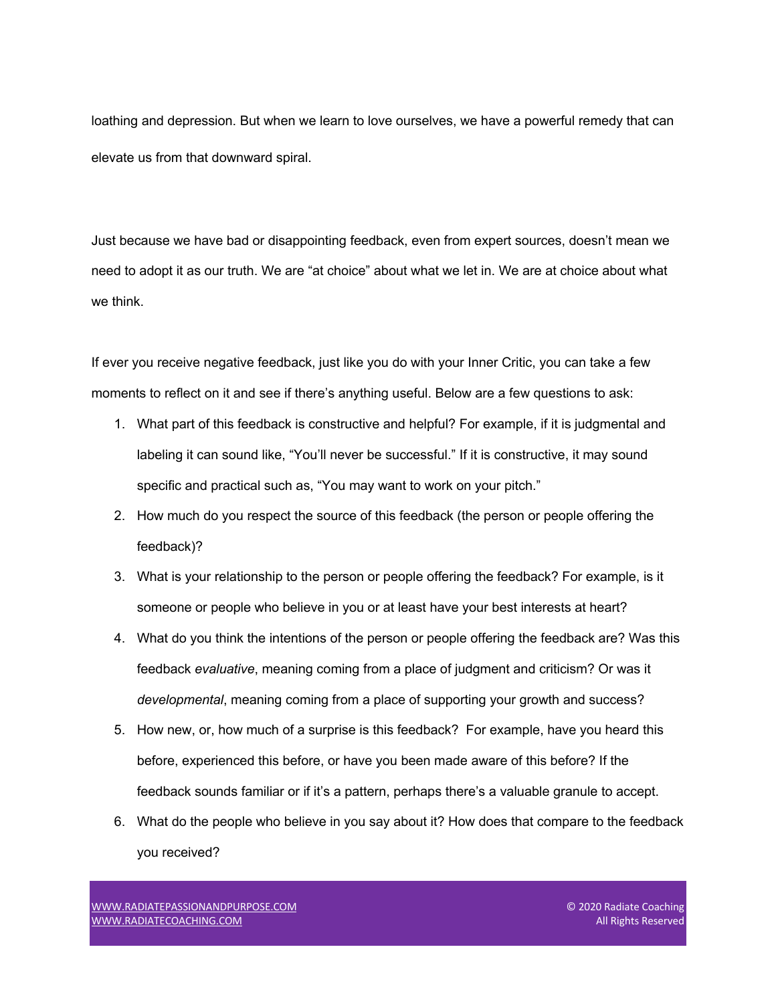loathing and depression. But when we learn to love ourselves, we have a powerful remedy that can elevate us from that downward spiral.

Just because we have bad or disappointing feedback, even from expert sources, doesn't mean we need to adopt it as our truth. We are "at choice" about what we let in. We are at choice about what we think.

If ever you receive negative feedback, just like you do with your Inner Critic, you can take a few moments to reflect on it and see if there's anything useful. Below are a few questions to ask:

- 1. What part of this feedback is constructive and helpful? For example, if it is judgmental and labeling it can sound like, "You'll never be successful." If it is constructive, it may sound specific and practical such as, "You may want to work on your pitch."
- 2. How much do you respect the source of this feedback (the person or people offering the feedback)?
- 3. What is your relationship to the person or people offering the feedback? For example, is it someone or people who believe in you or at least have your best interests at heart?
- 4. What do you think the intentions of the person or people offering the feedback are? Was this feedback *evaluative*, meaning coming from a place of judgment and criticism? Or was it *developmental*, meaning coming from a place of supporting your growth and success?
- 5. How new, or, how much of a surprise is this feedback? For example, have you heard this before, experienced this before, or have you been made aware of this before? If the feedback sounds familiar or if it's a pattern, perhaps there's a valuable granule to accept.
- 6. What do the people who believe in you say about it? How does that compare to the feedback you received?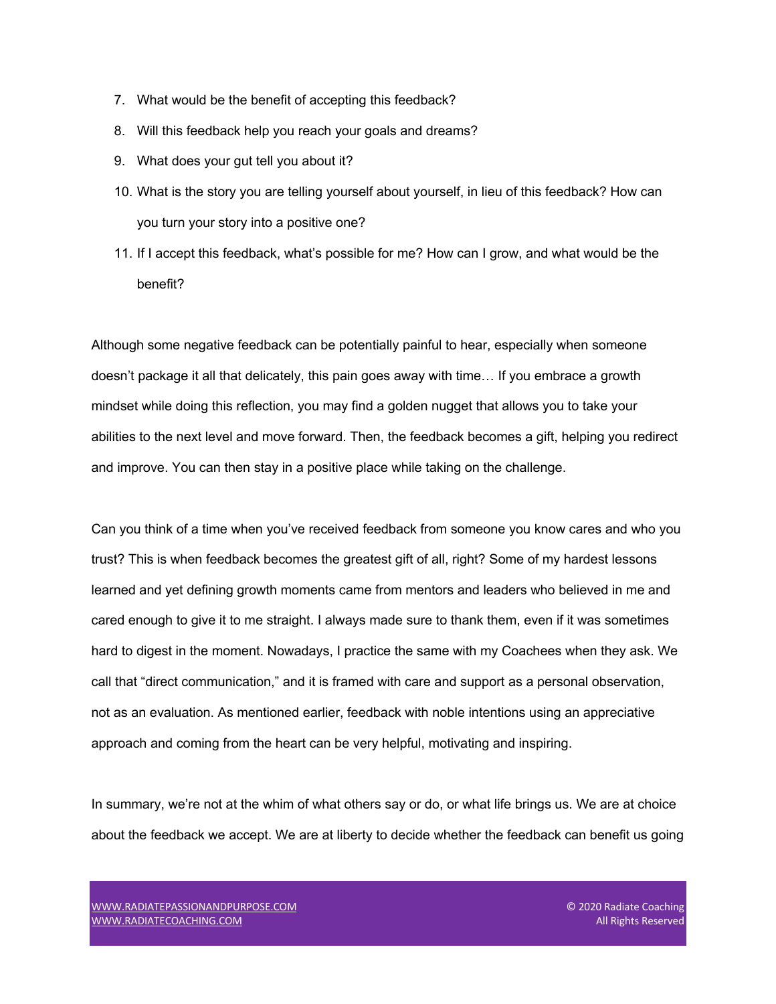- 7. What would be the benefit of accepting this feedback?
- 8. Will this feedback help you reach your goals and dreams?
- 9. What does your gut tell you about it?
- 10. What is the story you are telling yourself about yourself, in lieu of this feedback? How can you turn your story into a positive one?
- 11. If I accept this feedback, what's possible for me? How can I grow, and what would be the benefit?

Although some negative feedback can be potentially painful to hear, especially when someone doesn't package it all that delicately, this pain goes away with time… If you embrace a growth mindset while doing this reflection, you may find a golden nugget that allows you to take your abilities to the next level and move forward. Then, the feedback becomes a gift, helping you redirect and improve. You can then stay in a positive place while taking on the challenge.

Can you think of a time when you've received feedback from someone you know cares and who you trust? This is when feedback becomes the greatest gift of all, right? Some of my hardest lessons learned and yet defining growth moments came from mentors and leaders who believed in me and cared enough to give it to me straight. I always made sure to thank them, even if it was sometimes hard to digest in the moment. Nowadays, I practice the same with my Coachees when they ask. We call that "direct communication," and it is framed with care and support as a personal observation, not as an evaluation. As mentioned earlier, feedback with noble intentions using an appreciative approach and coming from the heart can be very helpful, motivating and inspiring.

In summary, we're not at the whim of what others say or do, or what life brings us. We are at choice about the feedback we accept. We are at liberty to decide whether the feedback can benefit us going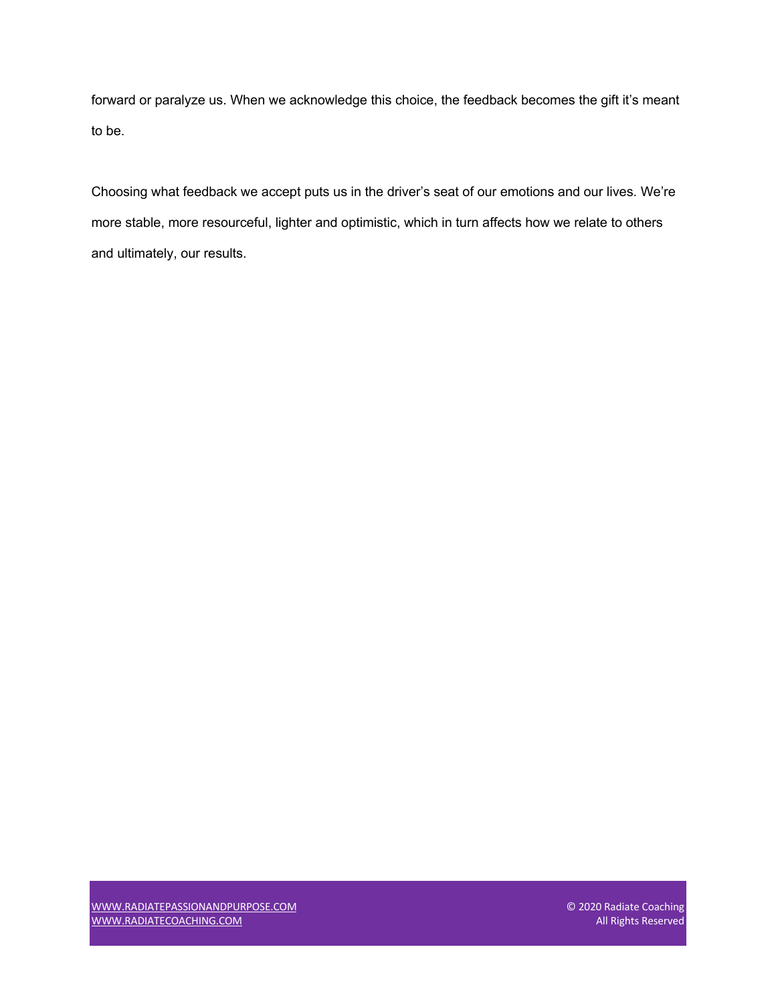forward or paralyze us. When we acknowledge this choice, the feedback becomes the gift it's meant to be.

Choosing what feedback we accept puts us in the driver's seat of our emotions and our lives. We're more stable, more resourceful, lighter and optimistic, which in turn affects how we relate to others and ultimately, our results.